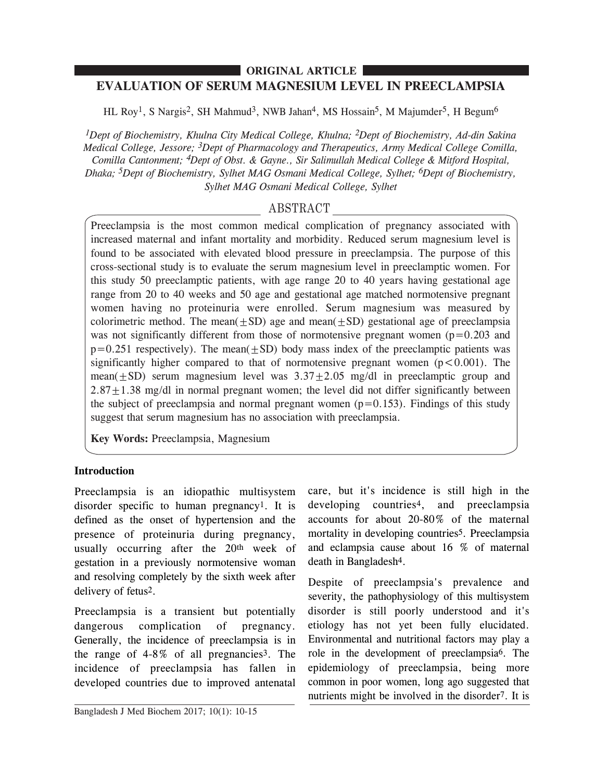# **EVALUATION OF SERUM MAGNESIUM LEVEL IN PREECLAMPSIA ORIGINAL ARTICLE**

HL Roy<sup>1</sup>, S Nargis<sup>2</sup>, SH Mahmud<sup>3</sup>, NWB Jahan<sup>4</sup>, MS Hossain<sup>5</sup>, M Majumder<sup>5</sup>, H Begum<sup>6</sup>

*1Dept of Biochemistry, Khulna City Medical College, Khulna; 2Dept of Biochemistry, Ad-din Sakina Medical College, Jessore; 3Dept of Pharmacology and Therapeutics, Army Medical College Comilla, Comilla Cantonment; 4Dept of Obst. & Gayne., Sir Salimullah Medical College & Mitford Hospital, Dhaka; 5Dept of Biochemistry, Sylhet MAG Osmani Medical College, Sylhet; 6Dept of Biochemistry, Sylhet MAG Osmani Medical College, Sylhet*

# ABSTRACT

Preeclampsia is the most common medical complication of pregnancy associated with increased maternal and infant mortality and morbidity. Reduced serum magnesium level is found to be associated with elevated blood pressure in preeclampsia. The purpose of this cross-sectional study is to evaluate the serum magnesium level in preeclamptic women. For this study 50 preeclamptic patients, with age range 20 to 40 years having gestational age range from 20 to 40 weeks and 50 age and gestational age matched normotensive pregnant women having no proteinuria were enrolled. Serum magnesium was measured by colorimetric method. The mean( $\pm$ SD) age and mean( $\pm$ SD) gestational age of preeclampsia was not significantly different from those of normotensive pregnant women  $(p=0.203$  and  $p=0.251$  respectively). The mean( $\pm$ SD) body mass index of the preeclamptic patients was significantly higher compared to that of normotensive pregnant women  $(p<0.001)$ . The mean( $\pm$ SD) serum magnesium level was  $3.37\pm2.05$  mg/dl in preeclamptic group and  $2.87 \pm 1.38$  mg/dl in normal pregnant women; the level did not differ significantly between the subject of preeclampsia and normal pregnant women  $(p=0.153)$ . Findings of this study suggest that serum magnesium has no association with preeclampsia.

**Key Words:** Preeclampsia, Magnesium

## **Introduction**

Preeclampsia is an idiopathic multisystem disorder specific to human pregnancy1. It is defined as the onset of hypertension and the presence of proteinuria during pregnancy, usually occurring after the 20th week of gestation in a previously normotensive woman and resolving completely by the sixth week after delivery of fetus2.

Preeclampsia is a transient but potentially dangerous complication of pregnancy. Generally, the incidence of preeclampsia is in the range of 4-8% of all pregnancies3. The incidence of preeclampsia has fallen in developed countries due to improved antenatal

care, but it's incidence is still high in the developing countries4, and preeclampsia accounts for about 20-80% of the maternal mortality in developing countries5. Preeclampsia and eclampsia cause about 16 % of maternal death in Bangladesh4.

Despite of preeclampsia's prevalence and severity, the pathophysiology of this multisystem disorder is still poorly understood and it's etiology has not yet been fully elucidated. Environmental and nutritional factors may play a role in the development of preeclampsia6. The epidemiology of preeclampsia, being more common in poor women, long ago suggested that nutrients might be involved in the disorder7. It is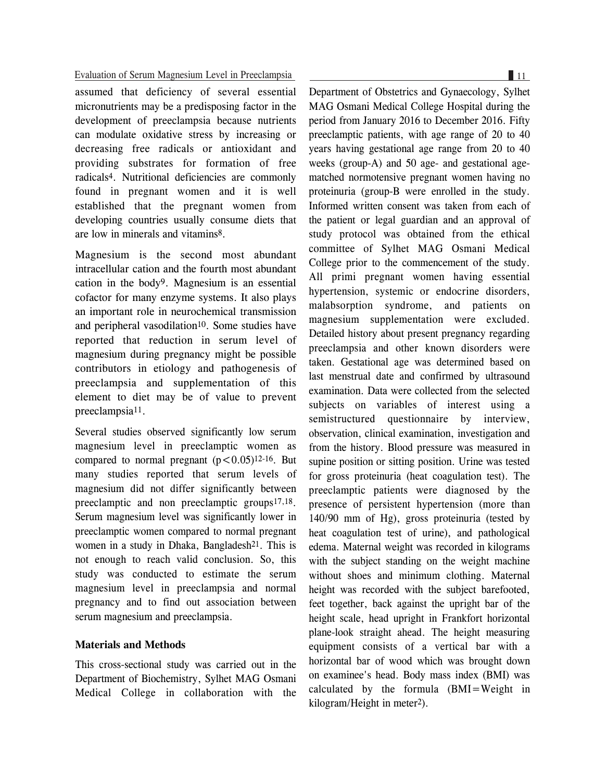## Evaluation of Serum Magnesium Level in Preeclampsia 11

assumed that deficiency of several essential micronutrients may be a predisposing factor in the development of preeclampsia because nutrients can modulate oxidative stress by increasing or decreasing free radicals or antioxidant and providing substrates for formation of free radicals4. Nutritional deficiencies are commonly found in pregnant women and it is well established that the pregnant women from developing countries usually consume diets that are low in minerals and vitamins8.

Magnesium is the second most abundant intracellular cation and the fourth most abundant cation in the body9. Magnesium is an essential cofactor for many enzyme systems. It also plays an important role in neurochemical transmission and peripheral vasodilation<sup>10</sup>. Some studies have reported that reduction in serum level of magnesium during pregnancy might be possible contributors in etiology and pathogenesis of preeclampsia and supplementation of this element to diet may be of value to prevent preeclampsia11.

Several studies observed significantly low serum magnesium level in preeclamptic women as compared to normal pregnant  $(p < 0.05)^{12-16}$ . But many studies reported that serum levels of magnesium did not differ significantly between preeclamptic and non preeclamptic groups17,18. Serum magnesium level was significantly lower in preeclamptic women compared to normal pregnant women in a study in Dhaka, Bangladesh<sup>21</sup>. This is not enough to reach valid conclusion. So, this study was conducted to estimate the serum magnesium level in preeclampsia and normal pregnancy and to find out association between serum magnesium and preeclampsia.

## **Materials and Methods**

This cross-sectional study was carried out in the Department of Biochemistry, Sylhet MAG Osmani Medical College in collaboration with the

Department of Obstetrics and Gynaecology, Sylhet MAG Osmani Medical College Hospital during the period from January 2016 to December 2016. Fifty preeclamptic patients, with age range of 20 to 40 years having gestational age range from 20 to 40 weeks (group-A) and 50 age- and gestational agematched normotensive pregnant women having no proteinuria (group-B were enrolled in the study. Informed written consent was taken from each of the patient or legal guardian and an approval of study protocol was obtained from the ethical committee of Sylhet MAG Osmani Medical College prior to the commencement of the study. All primi pregnant women having essential hypertension, systemic or endocrine disorders, malabsorption syndrome, and patients on magnesium supplementation were excluded. Detailed history about present pregnancy regarding preeclampsia and other known disorders were taken. Gestational age was determined based on last menstrual date and confirmed by ultrasound examination. Data were collected from the selected subjects on variables of interest using a semistructured questionnaire by interview, observation, clinical examination, investigation and from the history. Blood pressure was measured in supine position or sitting position. Urine was tested for gross proteinuria (heat coagulation test). The preeclamptic patients were diagnosed by the presence of persistent hypertension (more than 140/90 mm of Hg), gross proteinuria (tested by heat coagulation test of urine), and pathological edema. Maternal weight was recorded in kilograms with the subject standing on the weight machine without shoes and minimum clothing. Maternal height was recorded with the subject barefooted, feet together, back against the upright bar of the height scale, head upright in Frankfort horizontal plane-look straight ahead. The height measuring equipment consists of a vertical bar with a horizontal bar of wood which was brought down on examinee's head. Body mass index (BMI) was calculated by the formula (BMI=Weight in kilogram/Height in meter2).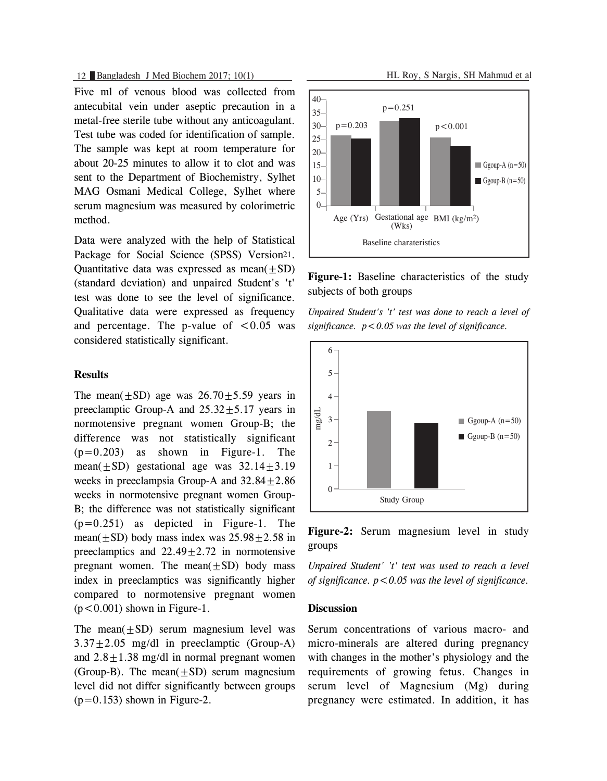## 12 Bangladesh J Med Biochem 2017; 10(1) HL Roy, S Nargis, SH Mahmud et al

Five ml of venous blood was collected from antecubital vein under aseptic precaution in a metal-free sterile tube without any anticoagulant. Test tube was coded for identification of sample. The sample was kept at room temperature for about 20-25 minutes to allow it to clot and was sent to the Department of Biochemistry, Sylhet MAG Osmani Medical College, Sylhet where serum magnesium was measured by colorimetric method.

Data were analyzed with the help of Statistical Package for Social Science (SPSS) Version21. Quantitative data was expressed as mean $(\pm SD)$ (standard deviation) and unpaired Student's 't' test was done to see the level of significance. Qualitative data were expressed as frequency and percentage. The p-value of  $\leq 0.05$  was considered statistically significant.

## **Results**

The mean( $+SD$ ) age was  $26.70+5.59$  years in preeclamptic Group-A and  $25.32 \pm 5.17$  years in normotensive pregnant women Group-B; the difference was not statistically significant  $(p=0.203)$  as shown in Figure-1. The mean $(+SD)$  gestational age was  $32.14+3.19$ weeks in preeclampsia Group-A and  $32.84+2.86$ weeks in normotensive pregnant women Group-B; the difference was not statistically significant  $(p=0.251)$  as depicted in Figure-1. The mean( $+SD$ ) body mass index was  $25.98 + 2.58$  in preeclamptics and  $22.49+2.72$  in normotensive pregnant women. The mean $(+SD)$  body mass index in preeclamptics was significantly higher compared to normotensive pregnant women  $(p<0.001)$  shown in Figure-1.

The mean $(+SD)$  serum magnesium level was  $3.37+2.05$  mg/dl in preeclamptic (Group-A) and  $2.8 \pm 1.38$  mg/dl in normal pregnant women (Group-B). The mean $(+SD)$  serum magnesium level did not differ significantly between groups  $(p=0.153)$  shown in Figure-2.



**Figure-1:** Baseline characteristics of the study subjects of both groups

*Unpaired Student's 't' test was done to reach a level of significance. p<0.05 was the level of significance.*



**Figure-2:** Serum magnesium level in study groups

*Unpaired Student' 't' test was used to reach a level of significance. p<0.05 was the level of significance.*

## **Discussion**

Serum concentrations of various macro- and micro-minerals are altered during pregnancy with changes in the mother's physiology and the requirements of growing fetus. Changes in serum level of Magnesium (Mg) during pregnancy were estimated. In addition, it has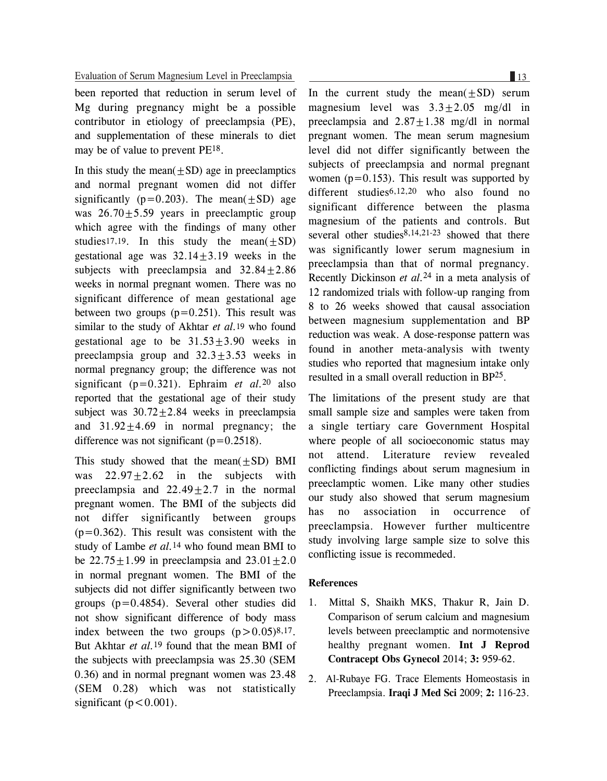been reported that reduction in serum level of Mg during pregnancy might be a possible contributor in etiology of preeclampsia (PE), and supplementation of these minerals to diet may be of value to prevent PE18.

In this study the mean $(\pm SD)$  age in preeclamptics and normal pregnant women did not differ significantly ( $p=0.203$ ). The mean( $\pm SD$ ) age was  $26.70 \pm 5.59$  years in preeclamptic group which agree with the findings of many other studies<sup>17,19</sup>. In this study the mean( $\pm$ SD) gestational age was  $32.14 \pm 3.19$  weeks in the subjects with preeclampsia and  $32.84 \pm 2.86$ weeks in normal pregnant women. There was no significant difference of mean gestational age between two groups  $(p=0.251)$ . This result was similar to the study of Akhtar *et al.*19 who found gestational age to be  $31.53 \pm 3.90$  weeks in preeclampsia group and  $32.3 \pm 3.53$  weeks in normal pregnancy group; the difference was not significant (p=0.321). Ephraim *et al.*20 also reported that the gestational age of their study subject was  $30.72 \pm 2.84$  weeks in preeclampsia and  $31.92 \pm 4.69$  in normal pregnancy; the difference was not significant  $(p=0.2518)$ .

This study showed that the mean $(\pm SD)$  BMI was  $22.97 \pm 2.62$  in the subjects with preeclampsia and  $22.49 \pm 2.7$  in the normal pregnant women. The BMI of the subjects did not differ significantly between groups  $(p=0.362)$ . This result was consistent with the study of Lambe *et al.*14 who found mean BMI to be  $22.75 \pm 1.99$  in preeclampsia and  $23.01 \pm 2.0$ in normal pregnant women. The BMI of the subjects did not differ significantly between two groups  $(p=0.4854)$ . Several other studies did not show significant difference of body mass index between the two groups  $(p>0.05)^{8,17}$ . But Akhtar *et al.*19 found that the mean BMI of the subjects with preeclampsia was 25.30 (SEM 0.36) and in normal pregnant women was 23.48 (SEM 0.28) which was not statistically significant ( $p < 0.001$ ).

In the current study the mean $(+SD)$  serum magnesium level was  $3.3 \pm 2.05$  mg/dl in preeclampsia and  $2.87+1.38$  mg/dl in normal pregnant women. The mean serum magnesium level did not differ significantly between the subjects of preeclampsia and normal pregnant women  $(p=0.153)$ . This result was supported by different studies<sup>6,12,20</sup> who also found no significant difference between the plasma magnesium of the patients and controls. But several other studies $8,14,21-23$  showed that there was significantly lower serum magnesium in preeclampsia than that of normal pregnancy. Recently Dickinson *et al.*<sup>24</sup> in a meta analysis of 12 randomized trials with follow-up ranging from 8 to 26 weeks showed that causal association between magnesium supplementation and BP reduction was weak. A dose-response pattern was found in another meta-analysis with twenty studies who reported that magnesium intake only resulted in a small overall reduction in BP25.

The limitations of the present study are that small sample size and samples were taken from a single tertiary care Government Hospital where people of all socioeconomic status may not attend. Literature review revealed conflicting findings about serum magnesium in preeclamptic women. Like many other studies our study also showed that serum magnesium has no association in occurrence of preeclampsia. However further multicentre study involving large sample size to solve this conflicting issue is recommeded.

#### **References**

- 1. Mittal S, Shaikh MKS, Thakur R, Jain D. Comparison of serum calcium and magnesium levels between preeclamptic and normotensive healthy pregnant women. **Int J Reprod Contracept Obs Gynecol** 2014; **3:** 959-62.
- 2. Al-Rubaye FG. Trace Elements Homeostasis in Preeclampsia. **Iraqi J Med Sci** 2009; **2:** 116-23.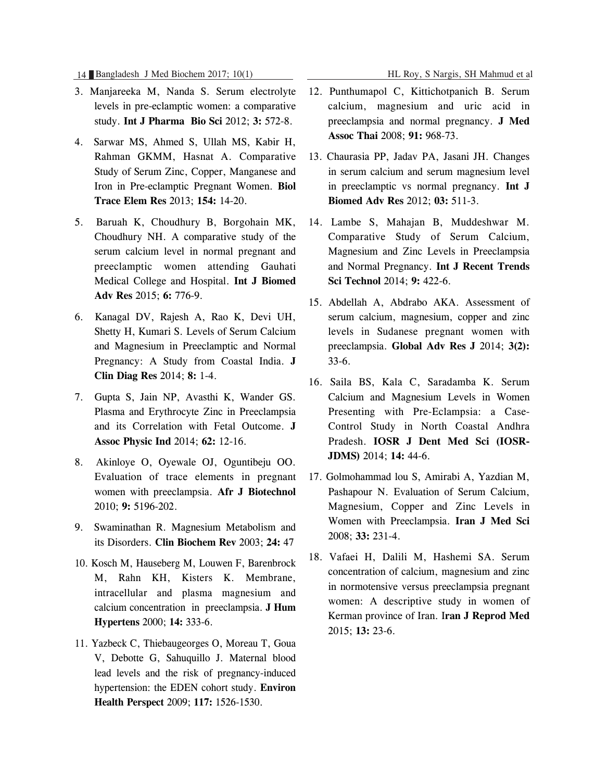14 Bangladesh J Med Biochem 2017; 10(1) HL Roy, S Nargis, SH Mahmud et al

- 3. Manjareeka M, Nanda S. Serum electrolyte levels in pre-eclamptic women: a comparative study. **Int J Pharma Bio Sci** 2012; **3:** 572-8.
- 4. Sarwar MS, Ahmed S, Ullah MS, Kabir H, Rahman GKMM, Hasnat A. Comparative Study of Serum Zinc, Copper, Manganese and Iron in Pre-eclamptic Pregnant Women. **Biol Trace Elem Res** 2013; **154:** 14-20.
- 5. Baruah K, Choudhury B, Borgohain MK, Choudhury NH. A comparative study of the serum calcium level in normal pregnant and preeclamptic women attending Gauhati Medical College and Hospital. **Int J Biomed Adv Res** 2015; **6:** 776-9.
- 6. Kanagal DV, Rajesh A, Rao K, Devi UH, Shetty H, Kumari S. Levels of Serum Calcium and Magnesium in Preeclamptic and Normal Pregnancy: A Study from Coastal India. **J Clin Diag Res** 2014; **8:** 1-4.
- 7. Gupta S, Jain NP, Avasthi K, Wander GS. Plasma and Erythrocyte Zinc in Preeclampsia and its Correlation with Fetal Outcome. **J Assoc Physic Ind** 2014; **62:** 12-16.
- 8. Akinloye O, Oyewale OJ, Oguntibeju OO. Evaluation of trace elements in pregnant women with preeclampsia. **Afr J Biotechnol** 2010; **9:** 5196-202.
- 9. Swaminathan R. Magnesium Metabolism and its Disorders. **Clin Biochem Rev** 2003; **24:** 47
- 10. Kosch M, Hauseberg M, Louwen F, Barenbrock M, Rahn KH, Kisters K. Membrane, intracellular and plasma magnesium and calcium concentration in preeclampsia. **J Hum Hypertens** 2000; **14:** 333-6.
- 11. Yazbeck C, Thiebaugeorges O, Moreau T, Goua V, Debotte G, Sahuquillo J. Maternal blood lead levels and the risk of pregnancy-induced hypertension: the EDEN cohort study. **Environ Health Perspect** 2009; **117:** 1526-1530.
- 12. Punthumapol C, Kittichotpanich B. Serum calcium, magnesium and uric acid in preeclampsia and normal pregnancy. **J Med Assoc Thai** 2008; **91:** 968-73.
- 13. Chaurasia PP, Jadav PA, Jasani JH. Changes in serum calcium and serum magnesium level in preeclamptic vs normal pregnancy. **Int J Biomed Adv Res** 2012; **03:** 511-3.
- 14. Lambe S, Mahajan B, Muddeshwar M. Comparative Study of Serum Calcium, Magnesium and Zinc Levels in Preeclampsia and Normal Pregnancy. **Int J Recent Trends Sci Technol** 2014; **9:** 422-6.
- 15. Abdellah A, Abdrabo AKA. Assessment of serum calcium, magnesium, copper and zinc levels in Sudanese pregnant women with preeclampsia. **Global Adv Res J** 2014; **3(2):** 33-6.
- 16. Saila BS, Kala C, Saradamba K. Serum Calcium and Magnesium Levels in Women Presenting with Pre-Eclampsia: a Case-Control Study in North Coastal Andhra Pradesh. **IOSR J Dent Med Sci (IOSR-JDMS)** 2014; **14:** 44-6.
- 17. Golmohammad lou S, Amirabi A, Yazdian M, Pashapour N. Evaluation of Serum Calcium, Magnesium, Copper and Zinc Levels in Women with Preeclampsia. **Iran J Med Sci** 2008; **33:** 231-4.
- 18. Vafaei H, Dalili M, Hashemi SA. Serum concentration of calcium, magnesium and zinc in normotensive versus preeclampsia pregnant women: A descriptive study in women of Kerman province of Iran. I**ran J Reprod Med** 2015; **13:** 23-6.